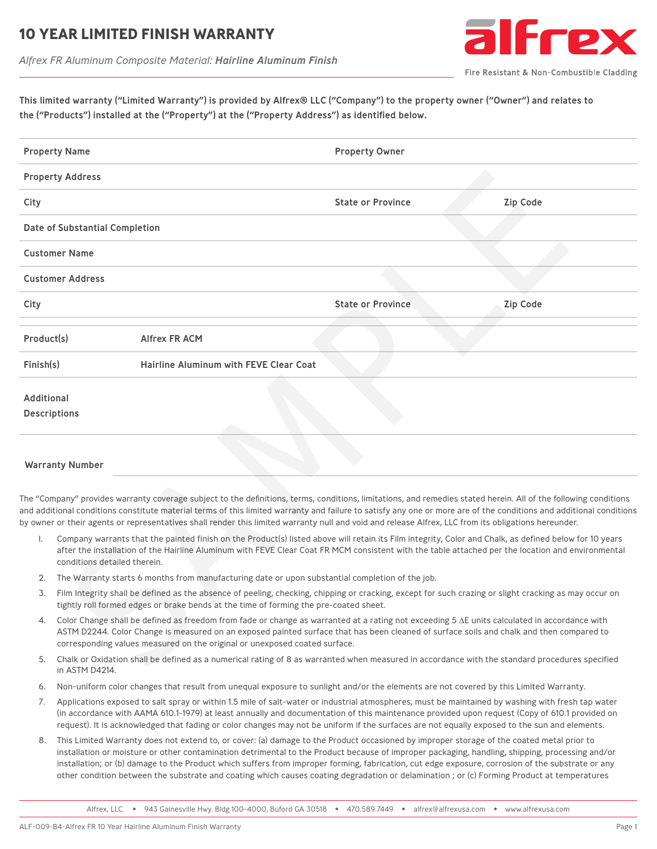### **10 YEAR LIMITED FINISH WARRANT**

*Alfrex FR Aluminum Composite Material: Hairline Aluminum Finish*



Fire Resistant & Non-Combustible Cladding

This limited warranty ("Limited Warranty") is provided by Alfrex® LLC ("Company") to the property owner ("Owner") and relates to the ("Products") installed at the ("Property") at the ("Property Address") as identified below.

| <b>Property Name</b>                                                                                                                  |                                                                                                                                                                                                                                                                                                                                                                                |                                        | <b>Property Owner</b>                                                                                                                                                                                                                                                                                                                                                                                                                                                                                                                                                                                                                                                                                                                                                                                          |                 |  |  |
|---------------------------------------------------------------------------------------------------------------------------------------|--------------------------------------------------------------------------------------------------------------------------------------------------------------------------------------------------------------------------------------------------------------------------------------------------------------------------------------------------------------------------------|----------------------------------------|----------------------------------------------------------------------------------------------------------------------------------------------------------------------------------------------------------------------------------------------------------------------------------------------------------------------------------------------------------------------------------------------------------------------------------------------------------------------------------------------------------------------------------------------------------------------------------------------------------------------------------------------------------------------------------------------------------------------------------------------------------------------------------------------------------------|-----------------|--|--|
|                                                                                                                                       | <b>Property Address</b>                                                                                                                                                                                                                                                                                                                                                        |                                        |                                                                                                                                                                                                                                                                                                                                                                                                                                                                                                                                                                                                                                                                                                                                                                                                                |                 |  |  |
| City                                                                                                                                  |                                                                                                                                                                                                                                                                                                                                                                                |                                        | <b>State or Province</b>                                                                                                                                                                                                                                                                                                                                                                                                                                                                                                                                                                                                                                                                                                                                                                                       | <b>Zip Code</b> |  |  |
|                                                                                                                                       | Date of Substantial Completion                                                                                                                                                                                                                                                                                                                                                 |                                        |                                                                                                                                                                                                                                                                                                                                                                                                                                                                                                                                                                                                                                                                                                                                                                                                                |                 |  |  |
|                                                                                                                                       | <b>Customer Name</b>                                                                                                                                                                                                                                                                                                                                                           |                                        |                                                                                                                                                                                                                                                                                                                                                                                                                                                                                                                                                                                                                                                                                                                                                                                                                |                 |  |  |
|                                                                                                                                       | <b>Customer Address</b>                                                                                                                                                                                                                                                                                                                                                        |                                        |                                                                                                                                                                                                                                                                                                                                                                                                                                                                                                                                                                                                                                                                                                                                                                                                                |                 |  |  |
| City                                                                                                                                  |                                                                                                                                                                                                                                                                                                                                                                                |                                        | <b>State or Province</b>                                                                                                                                                                                                                                                                                                                                                                                                                                                                                                                                                                                                                                                                                                                                                                                       | <b>Zip Code</b> |  |  |
| Product(s)                                                                                                                            |                                                                                                                                                                                                                                                                                                                                                                                | <b>Alfrex FR ACM</b>                   |                                                                                                                                                                                                                                                                                                                                                                                                                                                                                                                                                                                                                                                                                                                                                                                                                |                 |  |  |
| Finish(s)                                                                                                                             |                                                                                                                                                                                                                                                                                                                                                                                | Hairline Aluminum with FEVE Clear Coat |                                                                                                                                                                                                                                                                                                                                                                                                                                                                                                                                                                                                                                                                                                                                                                                                                |                 |  |  |
| Additional                                                                                                                            | <b>Descriptions</b>                                                                                                                                                                                                                                                                                                                                                            |                                        |                                                                                                                                                                                                                                                                                                                                                                                                                                                                                                                                                                                                                                                                                                                                                                                                                |                 |  |  |
|                                                                                                                                       | <b>Warranty Number</b>                                                                                                                                                                                                                                                                                                                                                         |                                        |                                                                                                                                                                                                                                                                                                                                                                                                                                                                                                                                                                                                                                                                                                                                                                                                                |                 |  |  |
| I.                                                                                                                                    |                                                                                                                                                                                                                                                                                                                                                                                |                                        | The "Company" provides warranty coverage subject to the definitions, terms, conditions, limitations, and remedies stated herein. All of the following conditions<br>and additional conditions constitute material terms of this limited warranty and failure to satisfy any one or more are of the conditions and additional conditions<br>by owner or their agents or representatives shall render this limited warranty null and void and release Alfrex, LLC from its obligations hereunder.<br>Company warrants that the painted finish on the Product(s) listed above will retain its Film integrity, Color and Chalk, as defined below for 10 years<br>after the installation of the Hairline Aluminum with FEVE Clear Coat FR MCM consistent with the table attached per the location and environmental |                 |  |  |
| conditions detailed therein.<br>The Warranty starts 6 months from manufacturing date or upon substantial completion of the job.<br>2. |                                                                                                                                                                                                                                                                                                                                                                                |                                        |                                                                                                                                                                                                                                                                                                                                                                                                                                                                                                                                                                                                                                                                                                                                                                                                                |                 |  |  |
| 3.                                                                                                                                    | Film Integrity shall be defined as the absence of peeling, checking, chipping or cracking, except for such crazing or slight cracking as may occur on<br>tightly roll formed edges or brake bends at the time of forming the pre-coated sheet.                                                                                                                                 |                                        |                                                                                                                                                                                                                                                                                                                                                                                                                                                                                                                                                                                                                                                                                                                                                                                                                |                 |  |  |
| 4.                                                                                                                                    | Color Change shall be defined as freedom from fade or change as warranted at a rating not exceeding 5 $\Delta E$ units calculated in accordance with<br>ASTM D2244. Color Change is measured on an exposed painted surface that has been cleaned of surface soils and chalk and then compared to<br>corresponding values measured on the original or unexposed coated surface. |                                        |                                                                                                                                                                                                                                                                                                                                                                                                                                                                                                                                                                                                                                                                                                                                                                                                                |                 |  |  |
| 5.                                                                                                                                    | in ASTM D4214                                                                                                                                                                                                                                                                                                                                                                  |                                        | Chalk or Oxidation shall be defined as a numerical rating of 8 as warranted when measured in accordance with the standard procedures specified                                                                                                                                                                                                                                                                                                                                                                                                                                                                                                                                                                                                                                                                 |                 |  |  |

#### Warranty Number

- 1. Company warrants that the painted finish on the Product(s) listed above will retain its Film integrity, Color and Chalk, as defined below for 10 years after the installation of the Hairline Aluminum with FEVE Clear Coat FR MCM consistent with the table attached per the location and environmental conditions detailed therein.
- 2. The Warranty starts 6 months from manufacturing date or upon substantial completion of the job.
- 3. Film Integrity shall be defined as the absence of peeling, checking, chipping or cracking, except for such crazing or slight cracking as may occur on tightly roll formed edges or brake bends at the time of forming the pre-coated sheet.
- 4. Color Change shall be defined as freedom from fade or change as warranted at a rating not exceeding 5 ∆E units calculated in accordance with ASTM D2244. Color Change is measured on an exposed painted surface that has been cleaned of surface soils and chalk and then compared to corresponding values measured on the original or unexposed coated surface.
- 5. Chalk or Oxidation shall be defined as a numerical rating of 8 as warranted when measured in accordance with the standard procedures specified in ASTM D4214.
- 6. Non-uniform color changes that result from unequal exposure to sunlight and/or the elements are not covered by this Limited Warranty.
- 7. Applications exposed to salt spray or within 1.5 mile of salt-water or industrial atmospheres, must be maintained by washing with fresh tap water (in accordance with AAMA 610.1-1979) at least annually and documentation of this maintenance provided upon request (Copy of 610.1 provided on request). It is acknowledged that fading or color changes may not be uniform if the surfaces are not equally exposed to the sun and elements.
- 8. This Limited Warranty does not extend to, or cover: (a) damage to the Product occasioned by improper storage of the coated metal prior to installation or moisture or other contamination detrimental to the Product because of improper packaging, handling, shipping, processing and/or installation; or (b) damage to the Product which suffers from improper forming, fabrication, cut edge exposure, corrosion of the substrate or any other condition between the substrate and coating which causes coating degradation or delamination ; or (c) Forming Product at temperatures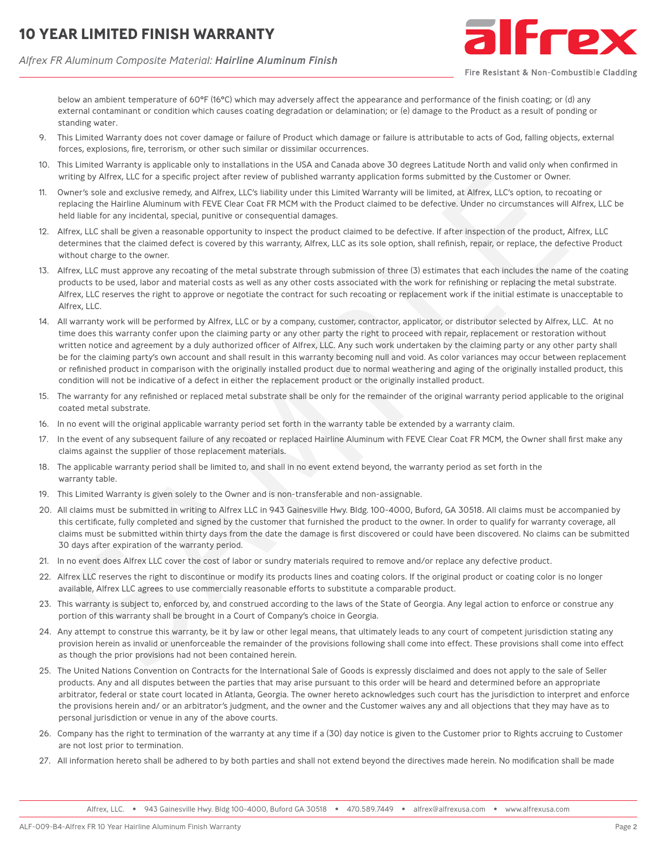# **10 YEAR LIMITED FINISH WARRANT**

*Alfrex FR Aluminum Composite Material: Hairline Aluminum Finish*



Fire Resistant & Non-Combustible Cladding

below an ambient temperature of 60°F (16°C) which may adversely affect the appearance and performance of the finish coating; or (d) any external contaminant or condition which causes coating degradation or delamination; or (e) damage to the Product as a result of ponding or standing water.

- 9. This Limited Warranty does not cover damage or failure of Product which damage or failure is attributable to acts of God, falling objects, external forces, explosions, fire, terrorism, or other such similar or dissimilar occurrences.
- 10. This Limited Warranty is applicable only to installations in the USA and Canada above 30 degrees Latitude North and valid only when confirmed in writing by Alfrex, LLC for a specific project after review of published warranty application forms submitted by the Customer or Owner.
- 11. Owner's sole and exclusive remedy, and Alfrex, LLC's liability under this Limited Warranty will be limited, at Alfrex, LLC's option, to recoating or replacing the Hairline Aluminum with FEVE Clear Coat FR MCM with the Product claimed to be defective. Under no circumstances will Alfrex, LLC be held liable for any incidental, special, punitive or consequential damages.
- 12. Alfrex, LLC shall be given a reasonable opportunity to inspect the product claimed to be defective. If after inspection of the product, Alfrex, LLC determines that the claimed defect is covered by this warranty, Alfrex, LLC as its sole option, shall refinish, repair, or replace, the defective Product without charge to the owner.
- 13. Alfrex, LLC must approve any recoating of the metal substrate through submission of three (3) estimates that each includes the name of the coating products to be used, labor and material costs as well as any other costs associated with the work for refinishing or replacing the metal substrate. Alfrex, LLC reserves the right to approve or negotiate the contract for such recoating or replacement work if the initial estimate is unacceptable to Alfrex, LLC.
- 14. All warranty work will be performed by Alfrex, LLC or by a company, customer, contractor, applicator, or distributor selected by Alfrex, LLC. At no time does this warranty confer upon the claiming party or any other party the right to proceed with repair, replacement or restoration without written notice and agreement by a duly authorized officer of Alfrex, LLC. Any such work undertaken by the claiming party or any other party shall be for the claiming party's own account and shall result in this warranty becoming null and void. As color variances may occur between replacement or refinished product in comparison with the originally installed product due to normal weathering and aging of the originally installed product, this condition will not be indicative of a defect in either the replacement product or the originally installed product. 2 calied Part and particular the particle of the transformation of the transformation of the transformation of the transformation of the transformation of the transformation of the transformation of the transformation of t
- 15. The warranty for any refinished or replaced metal substrate shall be only for the remainder of the original warranty period applicable to the original coated metal substrate.
- 16. In no event will the original applicable warranty period set forth in the warranty table be extended by a warranty claim.
- 17. In the event of any subsequent failure of any recoated or replaced Hairline Aluminum with FEVE Clear Coat FR MCM, the Owner shall first make any claims against the supplier of those replacement materials.
- 18. The applicable warranty period shall be limited to, and shall in no event extend beyond, the warranty period as set forth in the warranty table.
- 19. This Limited Warranty is given solely to the Owner and is non-transferable and non-assignable.
- 20. All claims must be submitted in writing to Alfrex LLC in 943 Gainesville Hwy. Bldg. 100-4000, Buford, GA 30518. All claims must be accompanied by this certificate, fully completed and signed by the customer that furnished the product to the owner. In order to qualify for warranty coverage, all claims must be submitted within thirty days from the date the damage is first discovered or could have been discovered. No claims can be submitted 30 days after expiration of the warranty period.
- 21. In no event does Alfrex LLC cover the cost of labor or sundry materials required to remove and/or replace any defective product.
- 22. Alfrex LLC reserves the right to discontinue or modify its products lines and coating colors. If the original product or coating color is no longer available, Alfrex LLC agrees to use commercially reasonable efforts to substitute a comparable product.
- 23. This warranty is subject to, enforced by, and construed according to the laws of the State of Georgia. Any legal action to enforce or construe any portion of this warranty shall be brought in a Court of Company's choice in Georgia.
- 24. Any attempt to construe this warranty, be it by law or other legal means, that ultimately leads to any court of competent jurisdiction stating any provision herein as invalid or unenforceable the remainder of the provisions following shall come into effect. These provisions shall come into effect as though the prior provisions had not been contained herein.
- 25. The United Nations Convention on Contracts for the International Sale of Goods is expressly disclaimed and does not apply to the sale of Seller products. Any and all disputes between the parties that may arise pursuant to this order will be heard and determined before an appropriate arbitrator, federal or state court located in Atlanta, Georgia. The owner hereto acknowledges such court has the jurisdiction to interpret and enforce the provisions herein and/ or an arbitrator's judgment, and the owner and the Customer waives any and all objections that they may have as to personal jurisdiction or venue in any of the above courts.
- 26. Company has the right to termination of the warranty at any time if a (30) day notice is given to the Customer prior to Rights accruing to Customer are not lost prior to termination.
- 27. All information hereto shall be adhered to by both parties and shall not extend beyond the directives made herein. No modification shall be made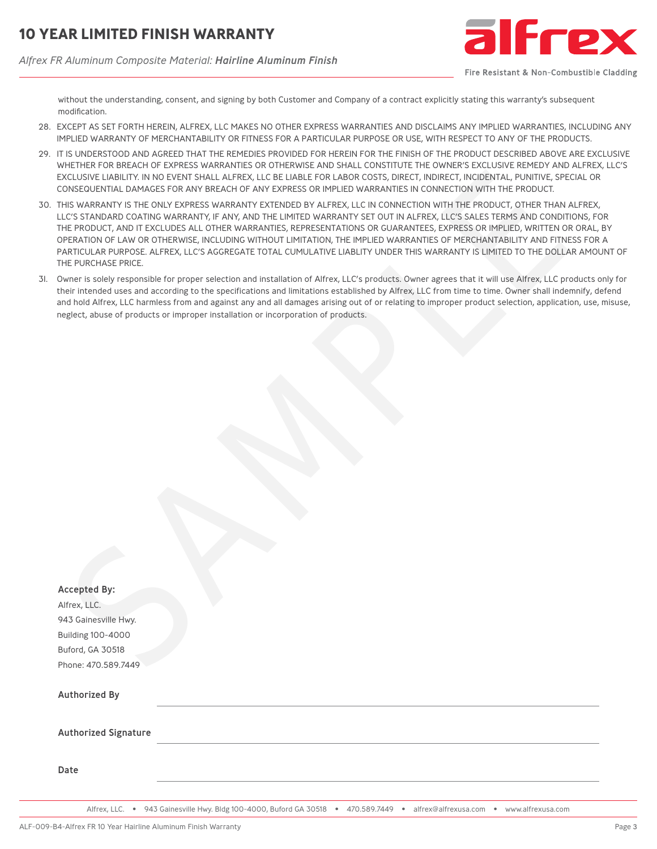*Alfrex FR Aluminum Composite Material: Hairline Aluminum Finish*



Fire Resistant & Non-Combustible Cladding

without the understanding, consent, and signing by both Customer and Company of a contract explicitly stating this warranty's subsequent modification.

- 28. EXCEPT AS SET FORTH HEREIN, ALFREX, LLC MAKES NO OTHER EXPRESS WARRANTIES AND DISCLAIMS ANY IMPLIED WARRANTIES, INCLUDING ANY IMPLIED WARRANTY OF MERCHANTABILITY OR FITNESS FOR A PARTICULAR PURPOSE OR USE, WITH RESPECT TO ANY OF THE PRODUCTS.
- 29. IT IS UNDERSTOOD AND AGREED THAT THE REMEDIES PROVIDED FOR HEREIN FOR THE FINISH OF THE PRODUCT DESCRIBED ABOVE ARE EXCLUSIVE WHETHER FOR BREACH OF EXPRESS WARRANTIES OR OTHERWISE AND SHALL CONSTITUTE THE OWNER'S EXCLUSIVE REMEDY AND ALFREX, LLC'S EXCLUSIVE LIABILITY. IN NO EVENT SHALL ALFREX, LLC BE LIABLE FOR LABOR COSTS, DIRECT, INDIRECT, INCIDENTAL, PUNITIVE, SPECIAL OR CONSEQUENTIAL DAMAGES FOR ANY BREACH OF ANY EXPRESS OR IMPLIED WARRANTIES IN CONNECTION WITH THE PRODUCT.
- 30. THIS WARRANTY IS THE ONLY EXPRESS WARRANTY EXTENDED BY ALFREX, LLC IN CONNECTION WITH THE PRODUCT, OTHER THAN ALFREX, LLC'S STANDARD COATING WARRANTY, IF ANY, AND THE LIMITED WARRANTY SET OUT IN ALFREX, LLC'S SALES TERMS AND CONDITIONS, FOR THE PRODUCT, AND IT EXCLUDES ALL OTHER WARRANTIES, REPRESENTATIONS OR GUARANTEES, EXPRESS OR IMPLIED, WRITTEN OR ORAL, BY OPERATION OF LAW OR OTHERWISE, INCLUDING WITHOUT LIMITATION, THE IMPLIED WARRANTIES OF MERCHANTABILITY AND FITNESS FOR A PARTICULAR PURPOSE. ALFREX, LLC'S AGGREGATE TOTAL CUMULATIVE LIABLITY UNDER THIS WARRANTY IS LIMITED TO THE DOLLAR AMOUNT OF THE PURCHASE PRICE.
- 31. Owner is solely responsible for proper selection and installation of Alfrex, LLC's products. Owner agrees that it will use Alfrex, LLC products only for their intended uses and according to the specifications and limitations established by Alfrex, LLC from time to time. Owner shall indemnify, defend and hold Alfrex, LLC harmless from and against any and all damages arising out of or relating to improper product selection, application, use, misuse, neglect, abuse of products or improper installation or incorporation of products.

|                                                  | <u>WHEHTEN FON DNEAUTFOF EAFNEJJ WANNANTIEJ ON OTHENWIJE AND JHAEL CONJTHOTE THE OWNEN J EACEOJIVE NEMED FAND ALFNEA</u><br>EXCLUSIVE LIABILITY. IN NO EVENT SHALL ALFREX, LLC BE LIABLE FOR LABOR COSTS, DIRECT, INDIRECT, INCIDENTAL, PUNITIVE, SPECIAL OR<br>CONSEQUENTIAL DAMAGES FOR ANY BREACH OF ANY EXPRESS OR IMPLIED WARRANTIES IN CONNECTION WITH THE PRODUCT.                                                                                                                                                                                                                                                         |
|--------------------------------------------------|-----------------------------------------------------------------------------------------------------------------------------------------------------------------------------------------------------------------------------------------------------------------------------------------------------------------------------------------------------------------------------------------------------------------------------------------------------------------------------------------------------------------------------------------------------------------------------------------------------------------------------------|
| THE PURCHASE PRICE.                              | THIS WARRANTY IS THE ONLY EXPRESS WARRANTY EXTENDED BY ALFREX, LLC IN CONNECTION WITH THE PRODUCT, OTHER THAN ALFREX,<br>LLC'S STANDARD COATING WARRANTY, IF ANY, AND THE LIMITED WARRANTY SET OUT IN ALFREX, LLC'S SALES TERMS AND CONDITIONS, FC<br>THE PRODUCT, AND IT EXCLUDES ALL OTHER WARRANTIES, REPRESENTATIONS OR GUARANTEES, EXPRESS OR IMPLIED, WRITTEN OR ORAL,<br>OPERATION OF LAW OR OTHERWISE, INCLUDING WITHOUT LIMITATION, THE IMPLIED WARRANTIES OF MERCHANTABILITY AND FITNESS FOR<br>PARTICULAR PURPOSE. ALFREX, LLC'S AGGREGATE TOTAL CUMULATIVE LIABLITY UNDER THIS WARRANTY IS LIMITED TO THE DOLLAR AMOU |
|                                                  | Owner is solely responsible for proper selection and installation of Alfrex, LLC's products. Owner agrees that it will use Alfrex, LLC products o<br>their intended uses and according to the specifications and limitations established by Alfrex, LLC from time to time. Owner shall indemnify, de<br>and hold Alfrex, LLC harmless from and against any and all damages arising out of or relating to improper product selection, application, use,<br>neglect, abuse of products or improper installation or incorporation of products.                                                                                       |
|                                                  |                                                                                                                                                                                                                                                                                                                                                                                                                                                                                                                                                                                                                                   |
|                                                  |                                                                                                                                                                                                                                                                                                                                                                                                                                                                                                                                                                                                                                   |
|                                                  |                                                                                                                                                                                                                                                                                                                                                                                                                                                                                                                                                                                                                                   |
|                                                  |                                                                                                                                                                                                                                                                                                                                                                                                                                                                                                                                                                                                                                   |
|                                                  |                                                                                                                                                                                                                                                                                                                                                                                                                                                                                                                                                                                                                                   |
|                                                  |                                                                                                                                                                                                                                                                                                                                                                                                                                                                                                                                                                                                                                   |
|                                                  |                                                                                                                                                                                                                                                                                                                                                                                                                                                                                                                                                                                                                                   |
|                                                  |                                                                                                                                                                                                                                                                                                                                                                                                                                                                                                                                                                                                                                   |
|                                                  |                                                                                                                                                                                                                                                                                                                                                                                                                                                                                                                                                                                                                                   |
| <b>Accepted By:</b><br>Alfrex, LLC.              |                                                                                                                                                                                                                                                                                                                                                                                                                                                                                                                                                                                                                                   |
| 943 Gainesville Hwy.<br><b>Building 100-4000</b> |                                                                                                                                                                                                                                                                                                                                                                                                                                                                                                                                                                                                                                   |
| Buford, GA 30518                                 |                                                                                                                                                                                                                                                                                                                                                                                                                                                                                                                                                                                                                                   |
| Phone: 470.589.7449                              |                                                                                                                                                                                                                                                                                                                                                                                                                                                                                                                                                                                                                                   |
| <b>Authorized By</b>                             |                                                                                                                                                                                                                                                                                                                                                                                                                                                                                                                                                                                                                                   |
| <b>Authorized Signature</b>                      |                                                                                                                                                                                                                                                                                                                                                                                                                                                                                                                                                                                                                                   |
| Date                                             |                                                                                                                                                                                                                                                                                                                                                                                                                                                                                                                                                                                                                                   |
|                                                  |                                                                                                                                                                                                                                                                                                                                                                                                                                                                                                                                                                                                                                   |

Alfrex, LLC. • 943 Gainesville Hwy. Bldg 100-4000, Buford GA 30518 • 470.589.7449 • alfrex@alfrexusa.com • www.alfrexusa.com